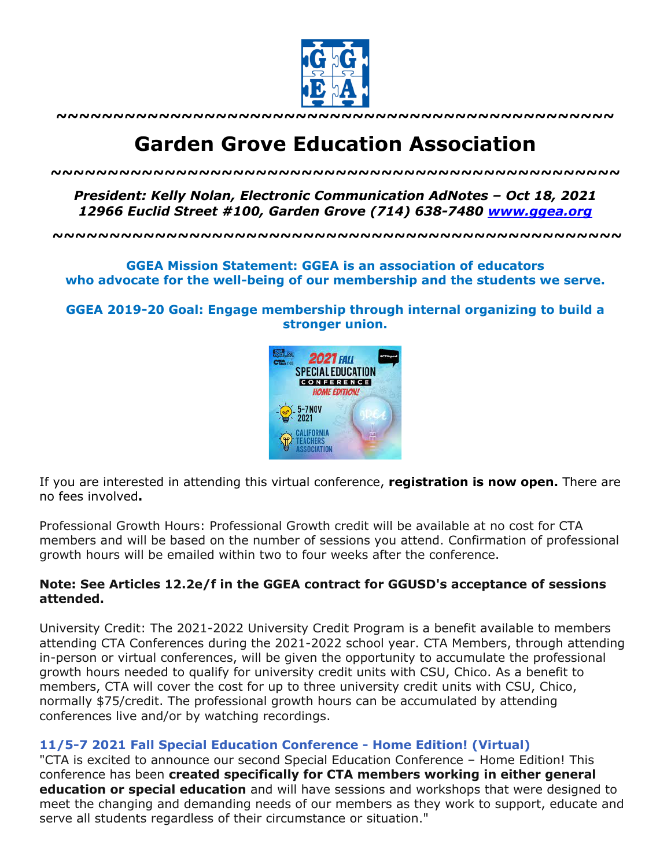

**~~~~~~~~~~~~~~~~~~~~~~~~~~~~~~~~~~~~~~~~~~~~~~~~~**

# **Garden Grove Education Association**

*~~~~~~~~~~~~~~~~~~~~~~~~~~~~~~~~~~~~~~~~~~~~~~~~~~*

*President: Kelly Nolan, Electronic Communication AdNotes – Oct 18, 2021 12966 Euclid Street #100, Garden Grove (714) 638-7480 www.ggea.org*

**~~~~~~~~~~~~~~~~~~~~~~~~~~~~~~~~~~~~~~~~~~~~~~~~~~**

**GGEA Mission Statement: GGEA is an association of educators who advocate for the well-being of our membership and the students we serve.**

**GGEA 2019-20 Goal: Engage membership through internal organizing to build a stronger union.**



If you are interested in attending this virtual conference, **registration is now open.** There are no fees involved**.**

Professional Growth Hours: Professional Growth credit will be available at no cost for CTA members and will be based on the number of sessions you attend. Confirmation of professional growth hours will be emailed within two to four weeks after the conference.

### **Note: See Articles 12.2e/f in the GGEA contract for GGUSD's acceptance of sessions attended.**

University Credit: The 2021-2022 University Credit Program is a benefit available to members attending CTA Conferences during the 2021-2022 school year. CTA Members, through attending in-person or virtual conferences, will be given the opportunity to accumulate the professional growth hours needed to qualify for university credit units with CSU, Chico. As a benefit to members, CTA will cover the cost for up to three university credit units with CSU, Chico, normally \$75/credit. The professional growth hours can be accumulated by attending conferences live and/or by watching recordings.

### **11/5-7 2021 Fall Special Education Conference - Home Edition! (Virtual)**

"CTA is excited to announce our second Special Education Conference – Home Edition! This conference has been **created specifically for CTA members working in either general education or special education** and will have sessions and workshops that were designed to meet the changing and demanding needs of our members as they work to support, educate and serve all students regardless of their circumstance or situation."